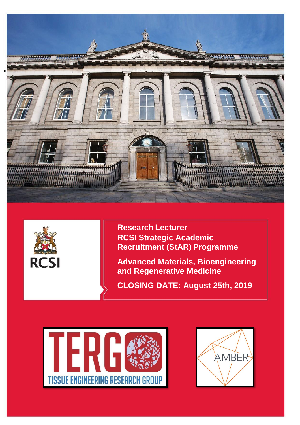



**Research Lecturer RCSI Strategic Academic Recruitment (StAR) Programme**

**Advanced Materials, Bioengineering and Regenerative Medicine**

**CLOSING DATE: August 25th, 2019**



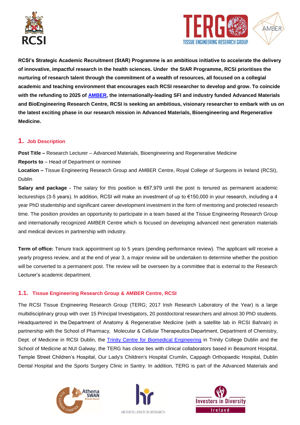



**RCSI's Strategic Academic Recruitment (StAR) Programme is an ambitious initiative to accelerate the delivery of innovative, impactful research in the health sciences. Under the StAR Programme, RCSI prioritises the nurturing of research talent through the commitment of a wealth of resources, all focused on a collegial academic and teaching environment that encourages each RCSI researcher to develop and grow. To coincide with the refunding to 2025 of [AMBER,](http://ambercentre.ie/) the internationally-leading SFI and industry funded Advanced Materials and BioEngineering Research Centre, RCSI is seeking an ambitious, visionary researcher to embark with us on the latest exciting phase in our research mission in Advanced Materials, Bioengineering and Regenerative Medicine.**

# **1. Job Description**

**Post Title –** Research Lecturer – Advanced Materials, Bioengineering and Regenerative Medicine **Reports to** – Head of Department or nominee

**Location –** Tissue Engineering Research Group and AMBER Centre, Royal College of Surgeons in Ireland (RCSI), Dublin

**Salary and package -** The salary for this position is €67,979 until the post is tenured as permanent academic lectureships (3-5 years). In addition, RCSI will make an investment of up to €150,000 in your research, including a 4 year PhD studentship and significant career development investment in the form of mentoring and protected research time. The position provides an opportunity to participate in a team based at the Tissue Engineering Research Group and internationally recognized AMBER Centre which is focused on developing advanced next generation materials and medical devices in partnership with industry.

**Term of office:** Tenure track appointment up to 5 years (pending performance review). The applicant will receive a yearly progress review, and at the end of year 3, a major review will be undertaken to determine whether the position will be converted to a permanent post. The review will be overseen by a committee that is external to the Research Lecturer's academic department.

# **1.1. Tissue Engineering Research Group & AMBER Centre, RCSI**

The RCSI Tissue Engineering Research Group (TERG; 2017 Irish Research Laboratory of the Year) is a large multidisciplinary group with over 15 Principal Investigators, 20 postdoctoral researchers and almost 30 PhD students. Headquartered in the Department of Anatomy & Regenerative Medicine (with a satellite lab in RCSI Bahrain) in partnership with the School of Pharmacy, Molecular & Cellular Therapeutics Department, Department of Chemistry, Dept. of Medicine in RCSI Dublin, the [Trinity Centre for Biomedical Engineering](https://www.tcd.ie/bioengineering/) in Trinity College Dublin and the School of Medicine at NUI Galway, the TERG has close ties with clinical collaborators based in Beaumont Hospital, Temple Street Children's Hospital, Our Lady's Children's Hospital Crumlin, Cappagh Orthopaedic Hospital, Dublin Dental Hospital and the Sports Surgery Clinic in Santry. In addition, TERG is part of the Advanced Materials and





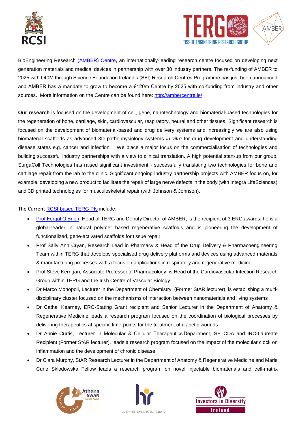



BioEngineering Research [\(AMBER\) Centre,](http://ambercentre.ie/) an internationally-leading research centre focused on developing next generation materials and medical devices in partnership with over 30 industry partners. The re-funding of AMBER to 2025 with €40M through Science Foundation Ireland's (SFI) Research Centres Programme has just been announced and AMBER has a mandate to grow to become a €120m Centre by 2025 with co-funding from industry and other sources. More information on the Centre can be found here:<http://ambercentre.ie/>

**Our research** is focused on the development of cell, gene, nanotechnology and biomaterial-based technologies for the regeneration of bone, cartilage, skin, cardiovascular, respiratory, neural and other tissues. Significant research is focused on the development of biomaterial-based and drug delivery systems and increasingly we are also using biomaterial scaffolds as advanced 3D pathophysiology systems *in vitro* for drug development and understanding disease states e.g. cancer and infection. We place a major focus on the commercialisation of technologies and building successful industry partnerships with a view to clinical translation. A high potential start-up from our group, SurgaColl Technologies has raised significant investment - successfully translating two technologies for bone and cartilage repair from the lab to the clinic. Significant ongoing industry partnership projects with AMBER focus on, for example, developing a new product to facilitate the repair of large nerve defects in the body (with Integra LifeSciences) and 3D printed technologies for musculoskeletal repair (with Johnson & Johnson).

## The Current [RCSI-based TERG](http://www.rcsi.ie/anatomyresearchstaff) PIs include:

- Prof [Fergal O'Brien,](https://www.rcsi.com/people/profile/fjobrien) Head of TERG and Deputy Director of AMBER, is the recipient of 3 ERC awards; he is a global-leader in natural polymer based regenerative scaffolds and is pioneering the development of functionalized, gene-activated scaffolds for tissue repair.
- Prof Sally Ann Cryan, Research Lead in Pharmacy & Head of the Drug Delivery & Pharmacoengineering Team within TERG that develops specialised drug delivery platforms and devices using advanced materials & manufacturing processes with a focus on applications in respiratory and regenerative medicine.
- Prof Steve Kerrigan, Associate Professor of Pharmacology, is Head of the Cardiovascular Infection Research Group within TERG and the Irish Centre of Vascular Biology
- Dr Marco Monopoli, Lecturer in the Department of Chemistry, (Former StAR lecturer), is establishing a multidisciplinary cluster focused on the mechanisms of interaction between nanomaterials and living systems
- Dr Cathal Kearney, ERC-Stating Grant recipient and Senior Lecturer in the Department of Anatomy & Regenerative Medicine leads a research program focused on the coordination of biological processes by delivering therapeutics at specific time-points for the treatment of diabetic wounds
- Dr Annie Curtis, Lecturer in Molecular & Cellular Therapeutics Department, SFI-CDA and IRC-Laureate Recipient (Former StAR lecturer), leads a research program focused on the impact of the molecular clock on inflammation and the development of chronic disease
- Dr Ciara Murphy, StAR Research Lecturer in the Department of Anatomy & Regenerative Medicine and Marie Curie Sklodowska Fellow leads a research program on novel injectable biomaterials and cell-matrix





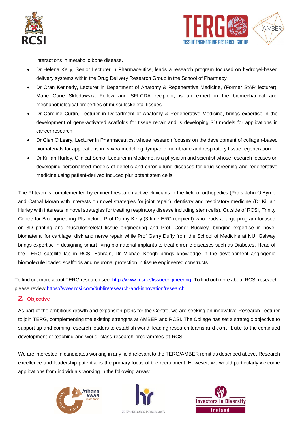



interactions in metabolic bone disease.

- Dr Helena Kelly, Senior Lecturer in Pharmaceutics, leads a research program focused on hydrogel-based delivery systems within the Drug Delivery Research Group in the School of Pharmacy
- Dr Oran Kennedy, Lecturer in Department of Anatomy & Regenerative Medicine, (Former StAR lecturer), Marie Curie Sklodowska Fellow and SFI-CDA recipient, is an expert in the biomechanical and mechanobiological properties of musculoskeletal tissues
- Dr Caroline Curtin, Lecturer in Department of Anatomy & Regenerative Medicine, brings expertise in the development of gene-activated scaffolds for tissue repair and is developing 3D models for applications in cancer research
- Dr Cian O'Leary, Lecturer in Pharmaceutics, whose research focuses on the development of collagen-based biomaterials for applications in *in vitro* modelling, tympanic membrane and respiratory tissue regeneration
- Dr Killian Hurley, Clinical Senior Lecturer in Medicine, is a physician and scientist whose research focuses on developing personalised models of genetic and chronic lung diseases for drug screening and regenerative medicine using patient-derived induced pluripotent stem cells.

The PI team is complemented by eminent research active clinicians in the field of orthopedics (Profs John O'Byrne and Cathal Moran with interests on novel strategies for joint repair), dentistry and respiratory medicine (Dr Killian Hurley with interests in novel strategies for treating respiratory disease including stem cells). Outside of RCSI, Trinity Centre for Bioengineering PIs include Prof Danny Kelly (3 time ERC recipient) who leads a large program focused on 3D printing and musculoskeletal tissue engineering and Prof. Conor Buckley, bringing expertise in novel biomaterial for cartilage, disk and nerve repair while Prof Garry Duffy from the School of Medicine at NUI Galway brings expertise in designing smart living biomaterial implants to treat chronic diseases such as Diabetes. Head of the TERG satellite lab in RCSI Bahrain, Dr Michael Keogh brings knowledge in the development angiogenic biomolecule loaded scaffolds and neuronal protection in tissue engineered constructs.

To find out more about TERG research see: [http://www.rcsi.ie/tissueengineering.](http://www.rcsi.ie/tissueengineering) To find out more about RCSI research please review[:https://www.rcsi.com/dublin/research-and-innovation/research](https://www.rcsi.com/dublin/research-and-innovation/research)

# **2. Objective**

As part of the ambitious growth and expansion plans for the Centre, we are seeking an innovative Research Lecturer to join TERG, complementing the existing strengths at AMBER and RCSI. The College has set a strategic objective to support up-and-coming research leaders to establish world- leading research teams and contribute to the continued development of teaching and world- class research programmes at RCSI.

We are interested in candidates working in any field relevant to the TERG/AMBER remit as described above. Research excellence and leadership potential is the primary focus of the recruitment. However, we would particularly welcome applications from individuals working in the following areas:





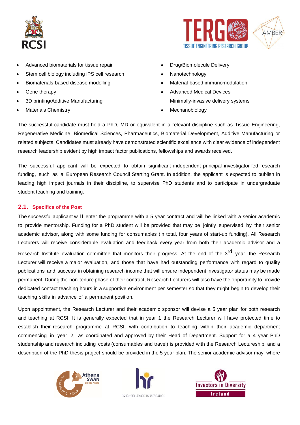



- Advanced biomaterials for tissue repair
- Stem cell biology including iPS cell research
- Biomaterials-based disease modelling
- Gene therapy
- 3D printing/Additive Manufacturing
- Materials Chemistry
- Drug/Biomolecule Delivery
- Nanotechnology
- Material-based immunomodulation
- Advanced Medical Devices Minimally-invasive delivery systems
- Mechanobiology

The successful candidate must hold a PhD, MD or equivalent in a relevant discipline such as Tissue Engineering, Regenerative Medicine, Biomedical Sciences, Pharmaceutics, Biomaterial Development, Additive Manufacturing or related subjects. Candidates must already have demonstrated scientific excellence with clear evidence of independent research leadership evident by high impact factor publications, fellowships and awards received.

The successful applicant will be expected to obtain significant independent principal investigator-led research funding, such as a European Research Council Starting Grant. In addition, the applicant is expected to publish in leading high impact journals in their discipline, to supervise PhD students and to participate in undergraduate student teaching and training.

# **2.1. Specifics of the Post**

The successful applicant w ill enter the programme with a 5 year contract and will be linked with a senior academic to provide mentorship. Funding for a PhD student will be provided that may be jointly supervised by their senior academic advisor, along with some funding for consumables (in total, four years of start-up funding). All Research Lecturers will receive considerable evaluation and feedback every year from both their academic advisor and a Research Institute evaluation committee that monitors their progress. At the end of the 3<sup>rd</sup> year, the Research Lecturer will receive a major evaluation, and those that have had outstanding performance with regard to quality publications and success in obtaining research income that will ensure independent investigator status may be made permanent. During the non-tenure phase of their contract, Research Lecturers will also have the opportunity to provide dedicated contact teaching hours in a supportive environment per semester so that they might begin to develop their teaching skills in advance of a permanent position.

Upon appointment, the Research Lecturer and their academic sponsor will devise a 5 year plan for both research and teaching at RCSI. It is generally expected that in year 1 the Research Lecturer will have protected time to establish their research programme at RCSI, with contribution to teaching within their academic department commencing in year 2, as coordinated and approved by their Head of Department. Support for a 4 year PhD studentship and research including costs (consumables and travel) is provided with the Research Lectureship, and a description of the PhD thesis project should be provided in the 5 year plan. The senior academic advisor may, where





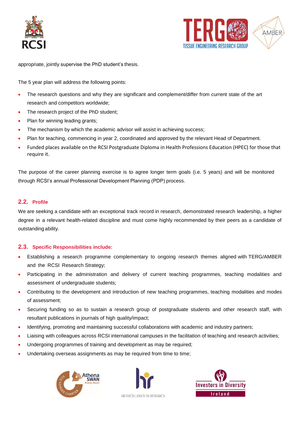



appropriate, jointly supervise the PhD student's thesis.

The 5 year plan will address the following points:

- The research questions and why they are significant and complement/differ from current state of the art research and competitors worldwide;
- The research project of the PhD student;
- Plan for winning leading grants;
- The mechanism by which the academic advisor will assist in achieving success;
- Plan for teaching, commencing in year 2, coordinated and approved by the relevant Head of Department.
- Funded places available on the RCSI Postgraduate Diploma in Health Professions Education (HPEC) for those that require it.

The purpose of the career planning exercise is to agree longer term goals (i.e. 5 years) and will be monitored through RCSI's annual Professional Development Planning (PDP) process.

## **2.2. Profile**

We are seeking a candidate with an exceptional track record in research, demonstrated research leadership, a higher degree in a relevant health-related discipline and must come highly recommended by their peers as a candidate of outstanding ability.

#### **2.3. Specific Responsibilities include:**

- Establishing a research programme complementary to ongoing research themes aligned with TERG/AMBER and the RCSI Research Strategy;
- Participating in the administration and delivery of current teaching programmes, teaching modalities and assessment of undergraduate students;
- Contributing to the development and introduction of new teaching programmes, teaching modalities and modes of assessment;
- Securing funding so as to sustain a research group of postgraduate students and other research staff, with resultant publications in journals of high quality/impact;
- Identifying, promoting and maintaining successful collaborations with academic and industry partners;
- Liaising with colleagues across RCSI international campuses in the facilitation of teaching and research activities;
- Undergoing programmes of training and development as may be required;
- Undertaking overseas assignments as may be required from time to time;